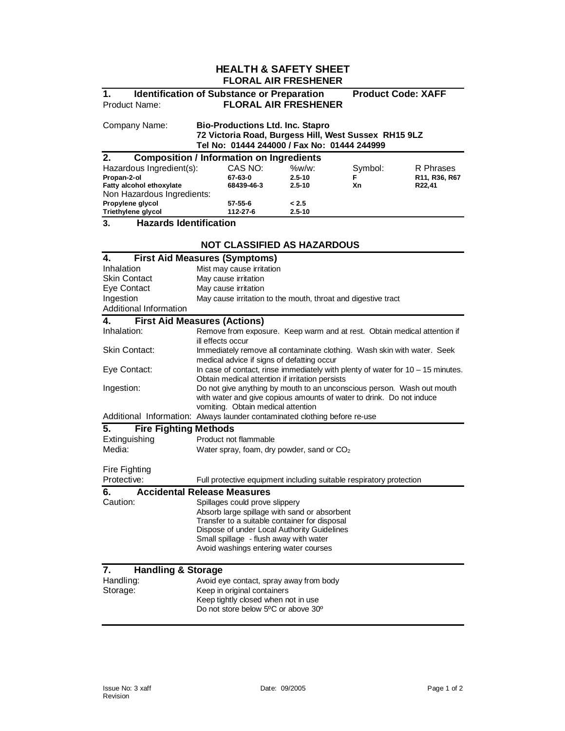## **HEALTH & SAFETY SHEET FLORAL AIR FRESHENER**

# **1. Identification of Substance or Preparation Product Code: XAFF** Product Name: **FLORAL AIR FRESHENER**

Company Name: **Bio-Productions Ltd. Inc. Stapro 72 Victoria Road, Burgess Hill, West Sussex RH15 9LZ Tel No: 01444 244000 / Fax No: 01444 244999** 

| <b>Composition / Information on Ingredients</b><br>2. |            |            |         |               |
|-------------------------------------------------------|------------|------------|---------|---------------|
| Hazardous Ingredient(s):                              | CAS NO:    | $\%w/w$ :  | Symbol: | R Phrases     |
| Propan-2-ol                                           | 67-63-0    | $2.5 - 10$ | F       | R11, R36, R67 |
| Fatty alcohol ethoxylate                              | 68439-46-3 | $2.5 - 10$ | Хn      | R22,41        |
| Non Hazardous Ingredients:                            |            |            |         |               |
| Propylene glycol                                      | 57-55-6    | < 2.5      |         |               |
| Triethylene glycol                                    | 112-27-6   | $2.5 - 10$ |         |               |

**3. Hazards Identification** 

## **NOT CLASSIFIED AS HAZARDOUS**

| 4.                                  | <b>First Aid Measures (Symptoms)</b>                                                                                                                                                 |  |  |
|-------------------------------------|--------------------------------------------------------------------------------------------------------------------------------------------------------------------------------------|--|--|
| Inhalation                          | Mist may cause irritation                                                                                                                                                            |  |  |
| <b>Skin Contact</b>                 | May cause irritation                                                                                                                                                                 |  |  |
| Eye Contact                         | May cause irritation                                                                                                                                                                 |  |  |
| Ingestion                           | May cause irritation to the mouth, throat and digestive tract                                                                                                                        |  |  |
| Additional Information              |                                                                                                                                                                                      |  |  |
| 4.                                  | <b>First Aid Measures (Actions)</b>                                                                                                                                                  |  |  |
| Inhalation:                         | Remove from exposure. Keep warm and at rest. Obtain medical attention if<br>ill effects occur                                                                                        |  |  |
| Skin Contact:                       | Immediately remove all contaminate clothing. Wash skin with water. Seek<br>medical advice if signs of defatting occur                                                                |  |  |
| Eye Contact:                        | In case of contact, rinse immediately with plenty of water for $10 - 15$ minutes.<br>Obtain medical attention if irritation persists                                                 |  |  |
| Ingestion:                          | Do not give anything by mouth to an unconscious person. Wash out mouth<br>with water and give copious amounts of water to drink. Do not induce<br>vomiting. Obtain medical attention |  |  |
|                                     | Additional Information: Always launder contaminated clothing before re-use                                                                                                           |  |  |
| 5.<br><b>Fire Fighting Methods</b>  |                                                                                                                                                                                      |  |  |
| Extinguishing                       | Product not flammable                                                                                                                                                                |  |  |
| Media:                              | Water spray, foam, dry powder, sand or $CO2$                                                                                                                                         |  |  |
| Fire Fighting                       |                                                                                                                                                                                      |  |  |
| Protective:                         | Full protective equipment including suitable respiratory protection                                                                                                                  |  |  |
| 6.                                  | <b>Accidental Release Measures</b>                                                                                                                                                   |  |  |
| Caution:                            | Spillages could prove slippery                                                                                                                                                       |  |  |
|                                     | Absorb large spillage with sand or absorbent                                                                                                                                         |  |  |
|                                     | Transfer to a suitable container for disposal                                                                                                                                        |  |  |
|                                     | Dispose of under Local Authority Guidelines                                                                                                                                          |  |  |
|                                     | Small spillage - flush away with water                                                                                                                                               |  |  |
|                                     | Avoid washings entering water courses                                                                                                                                                |  |  |
| <b>Handling &amp; Storage</b><br>7. |                                                                                                                                                                                      |  |  |
| Handling:                           | Avoid eye contact, spray away from body                                                                                                                                              |  |  |
| Storage:                            | Keep in original containers                                                                                                                                                          |  |  |
|                                     | Keep tightly closed when not in use                                                                                                                                                  |  |  |
|                                     | Do not store below 5°C or above 30°                                                                                                                                                  |  |  |